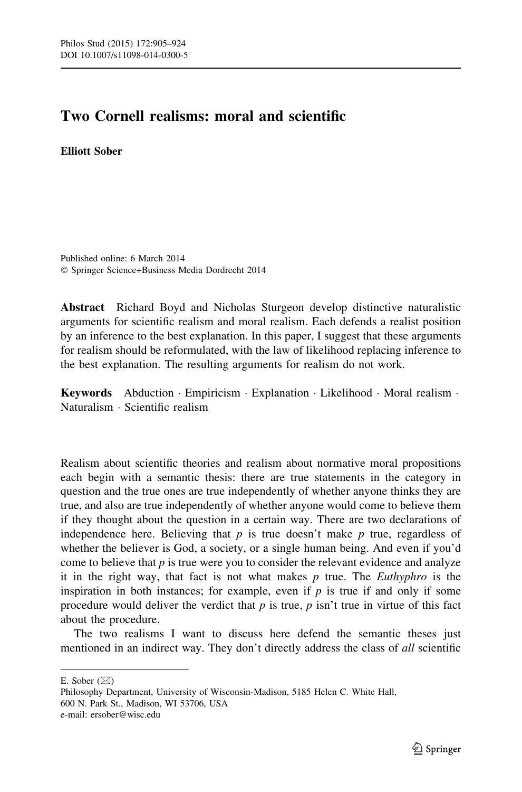# Two Cornell realisms: moral and scientific

Elliott Sober

Published online: 6 March 2014 - Springer Science+Business Media Dordrecht 2014

Abstract Richard Boyd and Nicholas Sturgeon develop distinctive naturalistic arguments for scientific realism and moral realism. Each defends a realist position by an inference to the best explanation. In this paper, I suggest that these arguments for realism should be reformulated, with the law of likelihood replacing inference to the best explanation. The resulting arguments for realism do not work.

Keywords Abduction · Empiricism · Explanation · Likelihood · Moral realism · Naturalism - Scientific realism

Realism about scientific theories and realism about normative moral propositions each begin with a semantic thesis: there are true statements in the category in question and the true ones are true independently of whether anyone thinks they are true, and also are true independently of whether anyone would come to believe them if they thought about the question in a certain way. There are two declarations of independence here. Believing that  $p$  is true doesn't make  $p$  true, regardless of whether the believer is God, a society, or a single human being. And even if you'd come to believe that  $p$  is true were you to consider the relevant evidence and analyze it in the right way, that fact is not what makes  $p$  true. The *Euthyphro* is the inspiration in both instances; for example, even if  $p$  is true if and only if some procedure would deliver the verdict that  $p$  is true,  $p$  isn't true in virtue of this fact about the procedure.

The two realisms I want to discuss here defend the semantic theses just mentioned in an indirect way. They don't directly address the class of all scientific

E. Sober  $(\boxtimes)$ 

Philosophy Department, University of Wisconsin-Madison, 5185 Helen C. White Hall, 600 N. Park St., Madison, WI 53706, USA e-mail: ersober@wisc.edu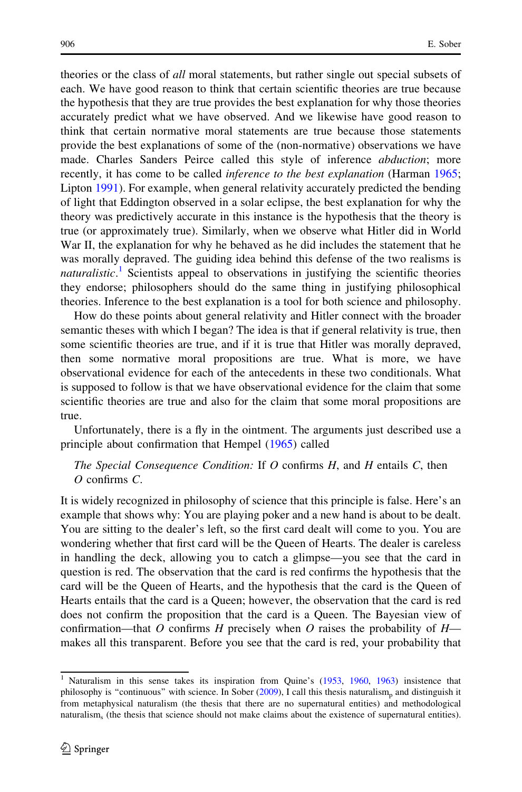theories or the class of all moral statements, but rather single out special subsets of each. We have good reason to think that certain scientific theories are true because the hypothesis that they are true provides the best explanation for why those theories accurately predict what we have observed. And we likewise have good reason to think that certain normative moral statements are true because those statements provide the best explanations of some of the (non-normative) observations we have made. Charles Sanders Peirce called this style of inference abduction; more recently, it has come to be called *inference to the best explanation* (Harman [1965;](#page-18-0) Lipton [1991](#page-18-0)). For example, when general relativity accurately predicted the bending of light that Eddington observed in a solar eclipse, the best explanation for why the theory was predictively accurate in this instance is the hypothesis that the theory is true (or approximately true). Similarly, when we observe what Hitler did in World War II, the explanation for why he behaved as he did includes the statement that he was morally depraved. The guiding idea behind this defense of the two realisms is naturalistic.<sup>1</sup> Scientists appeal to observations in justifying the scientific theories they endorse; philosophers should do the same thing in justifying philosophical theories. Inference to the best explanation is a tool for both science and philosophy.

How do these points about general relativity and Hitler connect with the broader semantic theses with which I began? The idea is that if general relativity is true, then some scientific theories are true, and if it is true that Hitler was morally depraved, then some normative moral propositions are true. What is more, we have observational evidence for each of the antecedents in these two conditionals. What is supposed to follow is that we have observational evidence for the claim that some scientific theories are true and also for the claim that some moral propositions are true.

Unfortunately, there is a fly in the ointment. The arguments just described use a principle about confirmation that Hempel ([1965\)](#page-18-0) called

### The Special Consequence Condition: If O confirms  $H$ , and  $H$  entails  $C$ , then  $O$  confirms  $C$ .

It is widely recognized in philosophy of science that this principle is false. Here's an example that shows why: You are playing poker and a new hand is about to be dealt. You are sitting to the dealer's left, so the first card dealt will come to you. You are wondering whether that first card will be the Queen of Hearts. The dealer is careless in handling the deck, allowing you to catch a glimpse—you see that the card in question is red. The observation that the card is red confirms the hypothesis that the card will be the Queen of Hearts, and the hypothesis that the card is the Queen of Hearts entails that the card is a Queen; however, the observation that the card is red does not confirm the proposition that the card is a Queen. The Bayesian view of confirmation—that O confirms H precisely when O raises the probability of  $H$  makes all this transparent. Before you see that the card is red, your probability that

<sup>&</sup>lt;sup>1</sup> Naturalism in this sense takes its inspiration from Quine's ([1953,](#page-18-0) [1960](#page-18-0), [1963\)](#page-18-0) insistence that philosophy is "continuous" with science. In Sober [\(2009](#page-19-0)), I call this thesis naturalism<sub>p</sub> and distinguish it from metaphysical naturalism (the thesis that there are no supernatural entities) and methodological naturalisms (the thesis that science should not make claims about the existence of supernatural entities).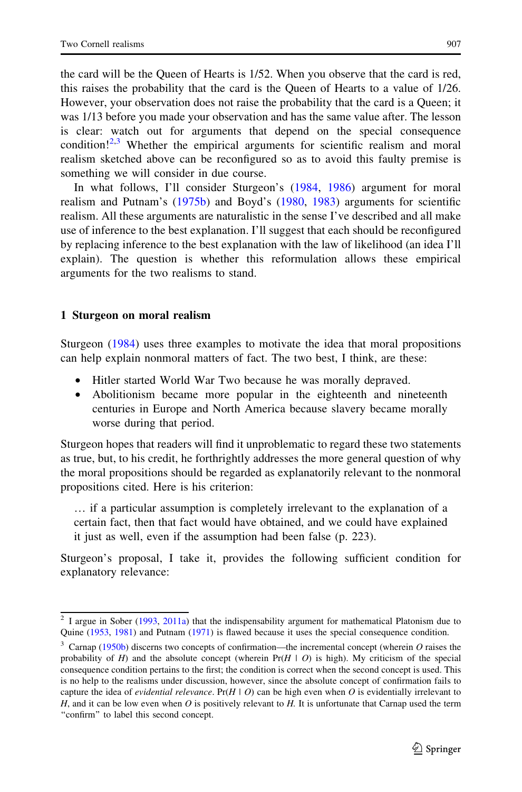the card will be the Queen of Hearts is 1/52. When you observe that the card is red, this raises the probability that the card is the Queen of Hearts to a value of 1/26. However, your observation does not raise the probability that the card is a Queen; it was 1/13 before you made your observation and has the same value after. The lesson is clear: watch out for arguments that depend on the special consequence condition! $2,3$  Whether the empirical arguments for scientific realism and moral realism sketched above can be reconfigured so as to avoid this faulty premise is something we will consider in due course.

In what follows, I'll consider Sturgeon's ([1984,](#page-19-0) [1986\)](#page-19-0) argument for moral realism and Putnam's ([1975b\)](#page-18-0) and Boyd's [\(1980](#page-18-0), [1983\)](#page-18-0) arguments for scientific realism. All these arguments are naturalistic in the sense I've described and all make use of inference to the best explanation. I'll suggest that each should be reconfigured by replacing inference to the best explanation with the law of likelihood (an idea I'll explain). The question is whether this reformulation allows these empirical arguments for the two realisms to stand.

#### 1 Sturgeon on moral realism

Sturgeon [\(1984](#page-19-0)) uses three examples to motivate the idea that moral propositions can help explain nonmoral matters of fact. The two best, I think, are these:

- Hitler started World War Two because he was morally depraved.
- Abolitionism became more popular in the eighteenth and nineteenth centuries in Europe and North America because slavery became morally worse during that period.

Sturgeon hopes that readers will find it unproblematic to regard these two statements as true, but, to his credit, he forthrightly addresses the more general question of why the moral propositions should be regarded as explanatorily relevant to the nonmoral propositions cited. Here is his criterion:

… if a particular assumption is completely irrelevant to the explanation of a certain fact, then that fact would have obtained, and we could have explained it just as well, even if the assumption had been false (p. 223).

Sturgeon's proposal, I take it, provides the following sufficient condition for explanatory relevance:

<sup>2</sup> I argue in Sober ([1993,](#page-19-0) [2011a\)](#page-19-0) that the indispensability argument for mathematical Platonism due to Quine ([1953,](#page-18-0) [1981](#page-18-0)) and Putnam [\(1971](#page-18-0)) is flawed because it uses the special consequence condition.

 $3$  Carnap ([1950b\)](#page-18-0) discerns two concepts of confirmation—the incremental concept (wherein  $O$  raises the probability of H) and the absolute concept (wherein  $Pr(H | O)$  is high). My criticism of the special consequence condition pertains to the first; the condition is correct when the second concept is used. This is no help to the realisms under discussion, however, since the absolute concept of confirmation fails to capture the idea of *evidential relevance*.  $Pr(H|O)$  can be high even when O is evidentially irrelevant to H, and it can be low even when O is positively relevant to H. It is unfortunate that Carnap used the term ''confirm'' to label this second concept.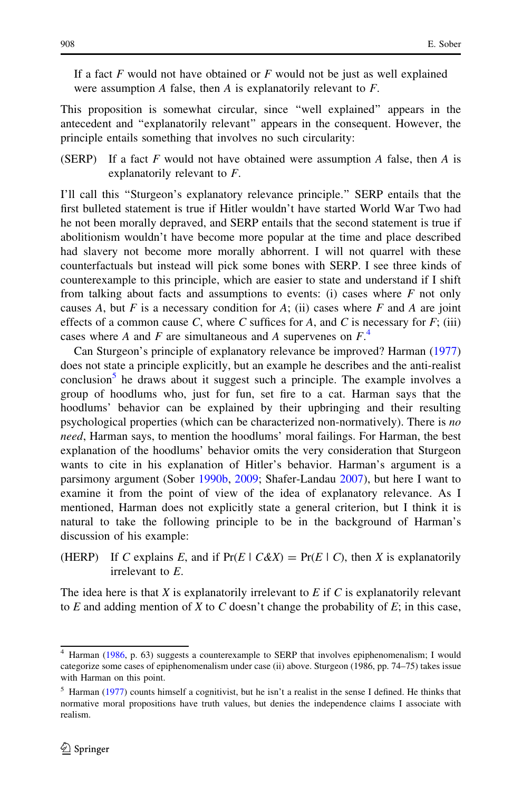If a fact  $F$  would not have obtained or  $F$  would not be just as well explained were assumption A false, then A is explanatorily relevant to F.

This proposition is somewhat circular, since ''well explained'' appears in the antecedent and ''explanatorily relevant'' appears in the consequent. However, the principle entails something that involves no such circularity:

(SERP) If a fact  $F$  would not have obtained were assumption  $A$  false, then  $A$  is explanatorily relevant to F.

I'll call this ''Sturgeon's explanatory relevance principle.'' SERP entails that the first bulleted statement is true if Hitler wouldn't have started World War Two had he not been morally depraved, and SERP entails that the second statement is true if abolitionism wouldn't have become more popular at the time and place described had slavery not become more morally abhorrent. I will not quarrel with these counterfactuals but instead will pick some bones with SERP. I see three kinds of counterexample to this principle, which are easier to state and understand if I shift from talking about facts and assumptions to events: (i) cases where  $F$  not only causes A, but F is a necessary condition for A; (ii) cases where F and A are joint effects of a common cause C, where C suffices for A, and C is necessary for  $F$ ; (iii) cases where A and F are simultaneous and A supervenes on  $F^A$ .

Can Sturgeon's principle of explanatory relevance be improved? Harman [\(1977](#page-18-0)) does not state a principle explicitly, but an example he describes and the anti-realist conclusion<sup>5</sup> he draws about it suggest such a principle. The example involves a group of hoodlums who, just for fun, set fire to a cat. Harman says that the hoodlums' behavior can be explained by their upbringing and their resulting psychological properties (which can be characterized non-normatively). There is no need, Harman says, to mention the hoodlums' moral failings. For Harman, the best explanation of the hoodlums' behavior omits the very consideration that Sturgeon wants to cite in his explanation of Hitler's behavior. Harman's argument is a parsimony argument (Sober [1990b](#page-19-0), [2009;](#page-19-0) Shafer-Landau [2007](#page-19-0)), but here I want to examine it from the point of view of the idea of explanatory relevance. As I mentioned, Harman does not explicitly state a general criterion, but I think it is natural to take the following principle to be in the background of Harman's discussion of his example:

(HERP) If C explains E, and if  $Pr(E | C\& X) = Pr(E | C)$ , then X is explanatorily irrelevant to E.

The idea here is that  $X$  is explanatorily irrelevant to  $E$  if  $C$  is explanatorily relevant to E and adding mention of X to C doesn't change the probability of E; in this case,

<sup>4</sup> Harman [\(1986](#page-18-0), p. 63) suggests a counterexample to SERP that involves epiphenomenalism; I would categorize some cases of epiphenomenalism under case (ii) above. Sturgeon (1986, pp. 74–75) takes issue with Harman on this point.

<sup>5</sup> Harman ([1977\)](#page-18-0) counts himself a cognitivist, but he isn't a realist in the sense I defined. He thinks that normative moral propositions have truth values, but denies the independence claims I associate with realism.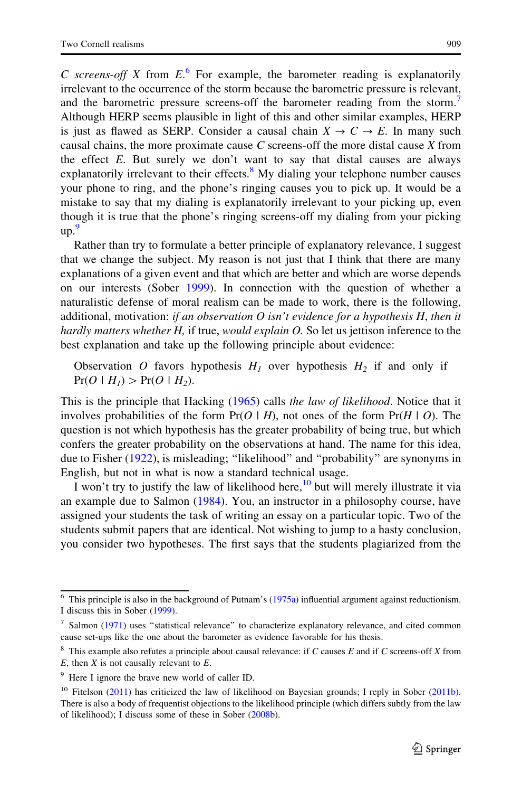C screens-off X from  $E^6$ . For example, the barometer reading is explanatorily irrelevant to the occurrence of the storm because the barometric pressure is relevant, and the barometric pressure screens-off the barometer reading from the storm.<sup>7</sup> Although HERP seems plausible in light of this and other similar examples, HERP is just as flawed as SERP. Consider a causal chain  $X \to C \to E$ . In many such causal chains, the more proximate cause  $C$  screens-off the more distal cause  $X$  from the effect  $E$ . But surely we don't want to say that distal causes are always explanatorily irrelevant to their effects.<sup>8</sup> My dialing your telephone number causes your phone to ring, and the phone's ringing causes you to pick up. It would be a mistake to say that my dialing is explanatorily irrelevant to your picking up, even though it is true that the phone's ringing screens-off my dialing from your picking  $un<sup>9</sup>$ 

Rather than try to formulate a better principle of explanatory relevance, I suggest that we change the subject. My reason is not just that I think that there are many explanations of a given event and that which are better and which are worse depends on our interests (Sober [1999\)](#page-19-0). In connection with the question of whether a naturalistic defense of moral realism can be made to work, there is the following, additional, motivation: if an observation  $O$  isn't evidence for a hypothesis  $H$ , then it hardly matters whether H, if true, would explain O. So let us jettison inference to the best explanation and take up the following principle about evidence:

Observation O favors hypothesis  $H_1$  over hypothesis  $H_2$  if and only if  $Pr(O \mid H_1) > Pr(O \mid H_2).$ 

This is the principle that Hacking ([1965\)](#page-18-0) calls the law of likelihood. Notice that it involves probabilities of the form  $Pr(O|H)$ , not ones of the form  $Pr(H|O)$ . The question is not which hypothesis has the greater probability of being true, but which confers the greater probability on the observations at hand. The name for this idea, due to Fisher ([1922\)](#page-18-0), is misleading; "likelihood" and "probability" are synonyms in English, but not in what is now a standard technical usage.

I won't try to justify the law of likelihood here,  $10<sup>10</sup>$  but will merely illustrate it via an example due to Salmon [\(1984](#page-19-0)). You, an instructor in a philosophy course, have assigned your students the task of writing an essay on a particular topic. Two of the students submit papers that are identical. Not wishing to jump to a hasty conclusion, you consider two hypotheses. The first says that the students plagiarized from the

 $6$  This principle is also in the background of Putnam's ([1975a\)](#page-18-0) influential argument against reductionism. I discuss this in Sober ([1999\)](#page-19-0).

<sup>&</sup>lt;sup>7</sup> Salmon ([1971\)](#page-18-0) uses "statistical relevance" to characterize explanatory relevance, and cited common cause set-ups like the one about the barometer as evidence favorable for his thesis.

 $8$  This example also refutes a principle about causal relevance: if C causes E and if C screens-off X from  $E$ , then  $X$  is not causally relevant to  $E$ .

<sup>9</sup> Here I ignore the brave new world of caller ID.

<sup>&</sup>lt;sup>10</sup> Fitelson [\(2011](#page-18-0)) has criticized the law of likelihood on Bayesian grounds; I reply in Sober ([2011b\)](#page-19-0). There is also a body of frequentist objections to the likelihood principle (which differs subtly from the law of likelihood); I discuss some of these in Sober ([2008b](#page-19-0)).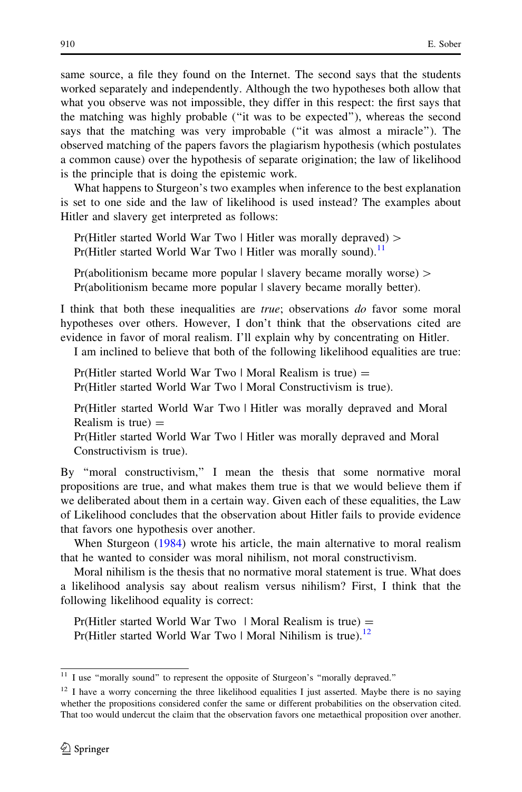same source, a file they found on the Internet. The second says that the students worked separately and independently. Although the two hypotheses both allow that what you observe was not impossible, they differ in this respect: the first says that the matching was highly probable (''it was to be expected''), whereas the second says that the matching was very improbable (''it was almost a miracle''). The observed matching of the papers favors the plagiarism hypothesis (which postulates a common cause) over the hypothesis of separate origination; the law of likelihood is the principle that is doing the epistemic work.

What happens to Sturgeon's two examples when inference to the best explanation is set to one side and the law of likelihood is used instead? The examples about Hitler and slavery get interpreted as follows:

Pr(Hitler started World War Two | Hitler was morally depraved)  $>$  $Pr(Hitter started World War Two | Hitler was morally sound).$ <sup>11</sup>

 $Pr($ abolitionism became more popular  $\vert$  slavery became morally worse)  $>$ Pr(abolitionism became more popular | slavery became morally better).

I think that both these inequalities are *true*; observations *do* favor some moral hypotheses over others. However, I don't think that the observations cited are evidence in favor of moral realism. I'll explain why by concentrating on Hitler.

I am inclined to believe that both of the following likelihood equalities are true:

Pr(Hitler started World War Two | Moral Realism is true)  $=$ Pr(Hitler started World War Two | Moral Constructivism is true).

Pr(Hitler started World War Two | Hitler was morally depraved and Moral Realism is true)  $=$ 

Pr(Hitler started World War Two | Hitler was morally depraved and Moral Constructivism is true).

By ''moral constructivism,'' I mean the thesis that some normative moral propositions are true, and what makes them true is that we would believe them if we deliberated about them in a certain way. Given each of these equalities, the Law of Likelihood concludes that the observation about Hitler fails to provide evidence that favors one hypothesis over another.

When Sturgeon [\(1984](#page-19-0)) wrote his article, the main alternative to moral realism that he wanted to consider was moral nihilism, not moral constructivism.

Moral nihilism is the thesis that no normative moral statement is true. What does a likelihood analysis say about realism versus nihilism? First, I think that the following likelihood equality is correct:

Pr(Hitler started World War Two | Moral Realism is true)  $=$ Pr(Hitler started World War Two | Moral Nihilism is true).<sup>12</sup>

 $\frac{11}{11}$  I use "morally sound" to represent the opposite of Sturgeon's "morally depraved."

<sup>&</sup>lt;sup>12</sup> I have a worry concerning the three likelihood equalities I just asserted. Maybe there is no saying whether the propositions considered confer the same or different probabilities on the observation cited. That too would undercut the claim that the observation favors one metaethical proposition over another.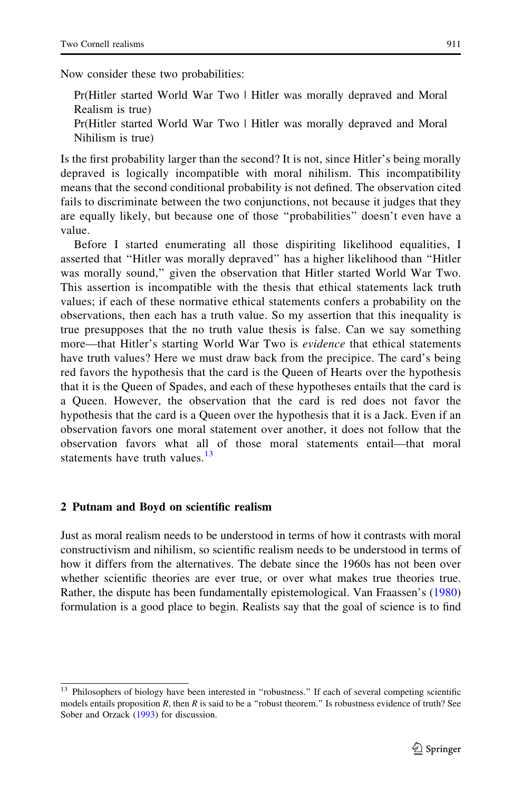Now consider these two probabilities:

Pr(Hitler started World War Two | Hitler was morally depraved and Moral Realism is true)

Pr(Hitler started World War Two | Hitler was morally depraved and Moral Nihilism is true)

Is the first probability larger than the second? It is not, since Hitler's being morally depraved is logically incompatible with moral nihilism. This incompatibility means that the second conditional probability is not defined. The observation cited fails to discriminate between the two conjunctions, not because it judges that they are equally likely, but because one of those ''probabilities'' doesn't even have a value.

Before I started enumerating all those dispiriting likelihood equalities, I asserted that ''Hitler was morally depraved'' has a higher likelihood than ''Hitler was morally sound,'' given the observation that Hitler started World War Two. This assertion is incompatible with the thesis that ethical statements lack truth values; if each of these normative ethical statements confers a probability on the observations, then each has a truth value. So my assertion that this inequality is true presupposes that the no truth value thesis is false. Can we say something more—that Hitler's starting World War Two is *evidence* that ethical statements have truth values? Here we must draw back from the precipice. The card's being red favors the hypothesis that the card is the Queen of Hearts over the hypothesis that it is the Queen of Spades, and each of these hypotheses entails that the card is a Queen. However, the observation that the card is red does not favor the hypothesis that the card is a Queen over the hypothesis that it is a Jack. Even if an observation favors one moral statement over another, it does not follow that the observation favors what all of those moral statements entail—that moral statements have truth values.<sup>13</sup>

#### 2 Putnam and Boyd on scientific realism

Just as moral realism needs to be understood in terms of how it contrasts with moral constructivism and nihilism, so scientific realism needs to be understood in terms of how it differs from the alternatives. The debate since the 1960s has not been over whether scientific theories are ever true, or over what makes true theories true. Rather, the dispute has been fundamentally epistemological. Van Fraassen's [\(1980](#page-19-0)) formulation is a good place to begin. Realists say that the goal of science is to find

<sup>&</sup>lt;sup>13</sup> Philosophers of biology have been interested in "robustness." If each of several competing scientific models entails proposition  $R$ , then  $R$  is said to be a "robust theorem." Is robustness evidence of truth? See Sober and Orzack ([1993\)](#page-19-0) for discussion.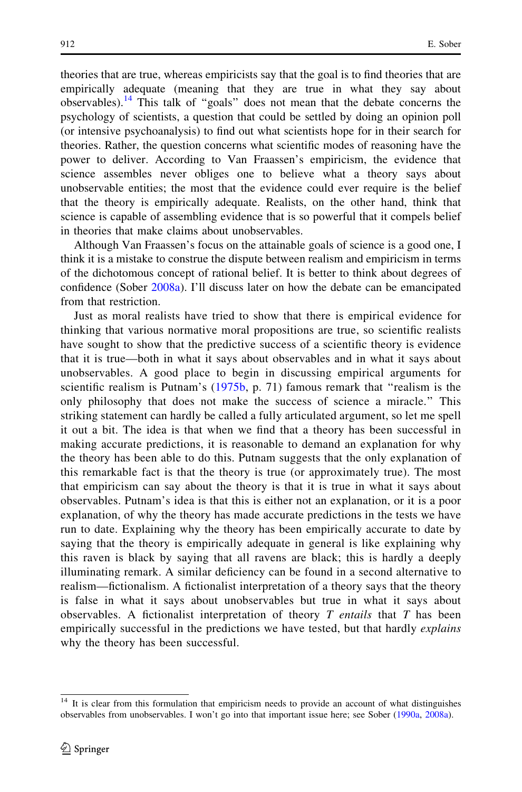theories that are true, whereas empiricists say that the goal is to find theories that are empirically adequate (meaning that they are true in what they say about observables).<sup>14</sup> This talk of "goals" does not mean that the debate concerns the psychology of scientists, a question that could be settled by doing an opinion poll (or intensive psychoanalysis) to find out what scientists hope for in their search for theories. Rather, the question concerns what scientific modes of reasoning have the power to deliver. According to Van Fraassen's empiricism, the evidence that science assembles never obliges one to believe what a theory says about unobservable entities; the most that the evidence could ever require is the belief that the theory is empirically adequate. Realists, on the other hand, think that science is capable of assembling evidence that is so powerful that it compels belief in theories that make claims about unobservables.

Although Van Fraassen's focus on the attainable goals of science is a good one, I think it is a mistake to construe the dispute between realism and empiricism in terms of the dichotomous concept of rational belief. It is better to think about degrees of confidence (Sober [2008a\)](#page-19-0). I'll discuss later on how the debate can be emancipated from that restriction.

Just as moral realists have tried to show that there is empirical evidence for thinking that various normative moral propositions are true, so scientific realists have sought to show that the predictive success of a scientific theory is evidence that it is true—both in what it says about observables and in what it says about unobservables. A good place to begin in discussing empirical arguments for scientific realism is Putnam's [\(1975b,](#page-18-0) p. 71) famous remark that ''realism is the only philosophy that does not make the success of science a miracle.'' This striking statement can hardly be called a fully articulated argument, so let me spell it out a bit. The idea is that when we find that a theory has been successful in making accurate predictions, it is reasonable to demand an explanation for why the theory has been able to do this. Putnam suggests that the only explanation of this remarkable fact is that the theory is true (or approximately true). The most that empiricism can say about the theory is that it is true in what it says about observables. Putnam's idea is that this is either not an explanation, or it is a poor explanation, of why the theory has made accurate predictions in the tests we have run to date. Explaining why the theory has been empirically accurate to date by saying that the theory is empirically adequate in general is like explaining why this raven is black by saying that all ravens are black; this is hardly a deeply illuminating remark. A similar deficiency can be found in a second alternative to realism—fictionalism. A fictionalist interpretation of a theory says that the theory is false in what it says about unobservables but true in what it says about observables. A fictionalist interpretation of theory  $T$  entails that  $T$  has been empirically successful in the predictions we have tested, but that hardly *explains* why the theory has been successful.

 $\frac{14}{14}$  It is clear from this formulation that empiricism needs to provide an account of what distinguishes observables from unobservables. I won't go into that important issue here; see Sober ([1990a](#page-19-0), [2008a\)](#page-19-0).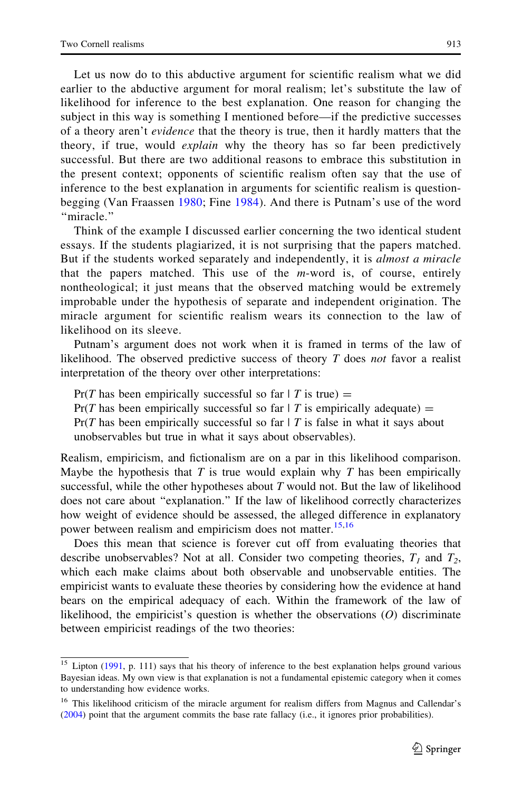Let us now do to this abductive argument for scientific realism what we did earlier to the abductive argument for moral realism; let's substitute the law of likelihood for inference to the best explanation. One reason for changing the subject in this way is something I mentioned before—if the predictive successes of a theory aren't evidence that the theory is true, then it hardly matters that the theory, if true, would explain why the theory has so far been predictively successful. But there are two additional reasons to embrace this substitution in the present context; opponents of scientific realism often say that the use of inference to the best explanation in arguments for scientific realism is questionbegging (Van Fraassen [1980;](#page-19-0) Fine [1984](#page-18-0)). And there is Putnam's use of the word ''miracle.''

Think of the example I discussed earlier concerning the two identical student essays. If the students plagiarized, it is not surprising that the papers matched. But if the students worked separately and independently, it is *almost a miracle* that the papers matched. This use of the  $m$ -word is, of course, entirely nontheological; it just means that the observed matching would be extremely improbable under the hypothesis of separate and independent origination. The miracle argument for scientific realism wears its connection to the law of likelihood on its sleeve.

Putnam's argument does not work when it is framed in terms of the law of likelihood. The observed predictive success of theory  $T$  does not favor a realist interpretation of the theory over other interpretations:

 $Pr(T \text{ has been empirically successful so far} | T \text{ is true}) =$ 

 $Pr(T \text{ has been empirically successful so far} | T \text{ is empirically adequate}) =$ 

 $Pr(T$  has been empirically successful so far  $|T|$  is false in what it says about unobservables but true in what it says about observables).

Realism, empiricism, and fictionalism are on a par in this likelihood comparison. Maybe the hypothesis that  $T$  is true would explain why  $T$  has been empirically successful, while the other hypotheses about  $T$  would not. But the law of likelihood does not care about ''explanation.'' If the law of likelihood correctly characterizes how weight of evidence should be assessed, the alleged difference in explanatory power between realism and empiricism does not matter.<sup>15,16</sup>

Does this mean that science is forever cut off from evaluating theories that describe unobservables? Not at all. Consider two competing theories,  $T_1$  and  $T_2$ , which each make claims about both observable and unobservable entities. The empiricist wants to evaluate these theories by considering how the evidence at hand bears on the empirical adequacy of each. Within the framework of the law of likelihood, the empiricist's question is whether the observations  $(O)$  discriminate between empiricist readings of the two theories:

<sup>&</sup>lt;sup>15</sup> Lipton ([1991,](#page-18-0) p. 111) says that his theory of inference to the best explanation helps ground various Bayesian ideas. My own view is that explanation is not a fundamental epistemic category when it comes to understanding how evidence works.

<sup>&</sup>lt;sup>16</sup> This likelihood criticism of the miracle argument for realism differs from Magnus and Callendar's ([2004\)](#page-18-0) point that the argument commits the base rate fallacy (i.e., it ignores prior probabilities).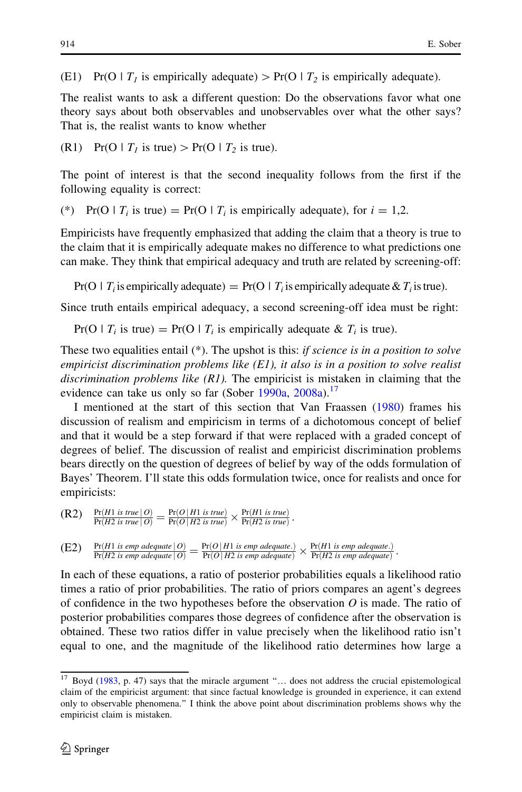(E1) Pr(O |  $T_1$  is empirically adequate) > Pr(O |  $T_2$  is empirically adequate).

The realist wants to ask a different question: Do the observations favor what one theory says about both observables and unobservables over what the other says? That is, the realist wants to know whether

(R1) Pr(O  $|T_1$  is true) > Pr(O  $|T_2$  is true).

The point of interest is that the second inequality follows from the first if the following equality is correct:

(\*) Pr(O |  $T_i$  is true) = Pr(O |  $T_i$  is empirically adequate), for  $i = 1,2$ .

Empiricists have frequently emphasized that adding the claim that a theory is true to the claim that it is empirically adequate makes no difference to what predictions one can make. They think that empirical adequacy and truth are related by screening-off:

 $Pr(O | T_i)$  is empirically adequate) =  $Pr(O | T_i)$  is empirically adequate &  $T_i$  is true).

Since truth entails empirical adequacy, a second screening-off idea must be right:

 $Pr(O | T_i$  is true) =  $Pr(O | T_i$  is empirically adequate &  $T_i$  is true).

These two equalities entail  $(*)$ . The upshot is this: *if science is in a position to solve* empiricist discrimination problems like  $(E1)$ , it also is in a position to solve realist discrimination problems like  $(R1)$ . The empiricist is mistaken in claiming that the evidence can take us only so far (Sober [1990a,](#page-19-0) [2008a\)](#page-19-0).<sup>17</sup>

I mentioned at the start of this section that Van Fraassen ([1980\)](#page-19-0) frames his discussion of realism and empiricism in terms of a dichotomous concept of belief and that it would be a step forward if that were replaced with a graded concept of degrees of belief. The discussion of realist and empiricist discrimination problems bears directly on the question of degrees of belief by way of the odds formulation of Bayes' Theorem. I'll state this odds formulation twice, once for realists and once for empiricists:

 $\text{(R2)} \quad \frac{\Pr(H1 \text{ is true } | O)}{\Pr(H2 \text{ is true } | O)} = \frac{\Pr(O | H1 \text{ is true})}{\Pr(O | H2 \text{ is true})} \times \frac{\Pr(H1 \text{ is true})}{\Pr(H2 \text{ is true})}.$ 

(E2) 
$$
\frac{\Pr(H1 \text{ is emp adequate} | O)}{\Pr(H2 \text{ is emp adequate} | O)} = \frac{\Pr(O | H1 \text{ is emp adequate.})}{\Pr(O | H2 \text{ is emp adequate})} \times \frac{\Pr(H1 \text{ is emp adequate.})}{\Pr(H2 \text{ is emp adequate})}.
$$

In each of these equations, a ratio of posterior probabilities equals a likelihood ratio times a ratio of prior probabilities. The ratio of priors compares an agent's degrees of confidence in the two hypotheses before the observation  $O$  is made. The ratio of posterior probabilities compares those degrees of confidence after the observation is obtained. These two ratios differ in value precisely when the likelihood ratio isn't equal to one, and the magnitude of the likelihood ratio determines how large a

<sup>&</sup>lt;sup>17</sup> Boyd ([1983](#page-18-0), p. 47) says that the miracle argument "... does not address the crucial epistemological claim of the empiricist argument: that since factual knowledge is grounded in experience, it can extend only to observable phenomena.'' I think the above point about discrimination problems shows why the empiricist claim is mistaken.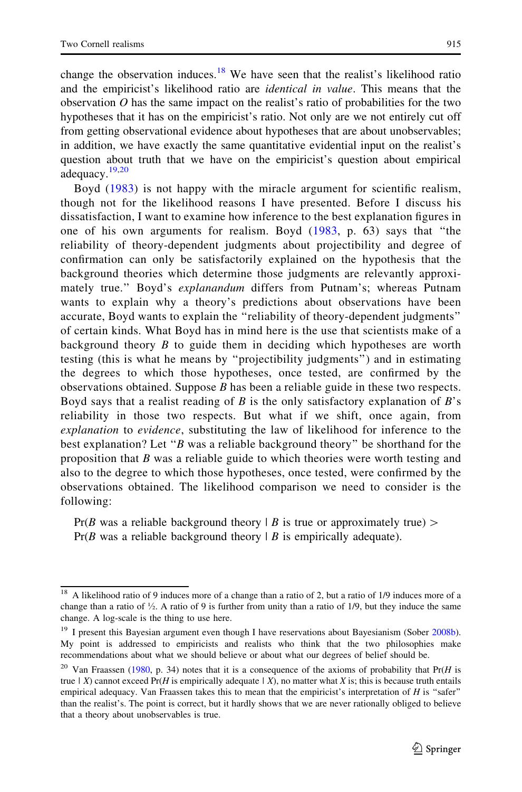change the observation induces.<sup>18</sup> We have seen that the realist's likelihood ratio and the empiricist's likelihood ratio are identical in value. This means that the observation  $O$  has the same impact on the realist's ratio of probabilities for the two hypotheses that it has on the empiricist's ratio. Not only are we not entirely cut off from getting observational evidence about hypotheses that are about unobservables; in addition, we have exactly the same quantitative evidential input on the realist's question about truth that we have on the empiricist's question about empirical adequacy. $19,20$ 

Boyd [\(1983\)](#page-18-0) is not happy with the miracle argument for scientific realism, though not for the likelihood reasons I have presented. Before I discuss his dissatisfaction, I want to examine how inference to the best explanation figures in one of his own arguments for realism. Boyd ([1983](#page-18-0), p. 63) says that ''the reliability of theory-dependent judgments about projectibility and degree of confirmation can only be satisfactorily explained on the hypothesis that the background theories which determine those judgments are relevantly approximately true." Boyd's *explanandum* differs from Putnam's: whereas Putnam wants to explain why a theory's predictions about observations have been accurate, Boyd wants to explain the ''reliability of theory-dependent judgments'' of certain kinds. What Boyd has in mind here is the use that scientists make of a background theory  $B$  to guide them in deciding which hypotheses are worth testing (this is what he means by ''projectibility judgments'') and in estimating the degrees to which those hypotheses, once tested, are confirmed by the observations obtained. Suppose  $B$  has been a reliable guide in these two respects. Boyd says that a realist reading of  $B$  is the only satisfactory explanation of  $B$ 's reliability in those two respects. But what if we shift, once again, from explanation to evidence, substituting the law of likelihood for inference to the best explanation? Let ''B was a reliable background theory'' be shorthand for the proposition that B was a reliable guide to which theories were worth testing and also to the degree to which those hypotheses, once tested, were confirmed by the observations obtained. The likelihood comparison we need to consider is the following:

 $Pr(B$  was a reliable background theory  $|B|$  is true or approximately true)  $\ge$  $Pr(B$  was a reliable background theory  $|B|$  is empirically adequate).

<sup>&</sup>lt;sup>18</sup> A likelihood ratio of 9 induces more of a change than a ratio of 2, but a ratio of 1/9 induces more of a change than a ratio of  $\frac{1}{2}$ . A ratio of 9 is further from unity than a ratio of 1/9, but they induce the same change. A log-scale is the thing to use here.

<sup>&</sup>lt;sup>19</sup> I present this Bayesian argument even though I have reservations about Bayesianism (Sober [2008b\)](#page-19-0). My point is addressed to empiricists and realists who think that the two philosophies make recommendations about what we should believe or about what our degrees of belief should be.

<sup>&</sup>lt;sup>20</sup> Van Fraassen [\(1980](#page-19-0), p. 34) notes that it is a consequence of the axioms of probability that Pr(H is true | X) cannot exceed  $Pr(H$  is empirically adequate | X), no matter what X is; this is because truth entails empirical adequacy. Van Fraassen takes this to mean that the empiricist's interpretation of  $H$  is "safer" than the realist's. The point is correct, but it hardly shows that we are never rationally obliged to believe that a theory about unobservables is true.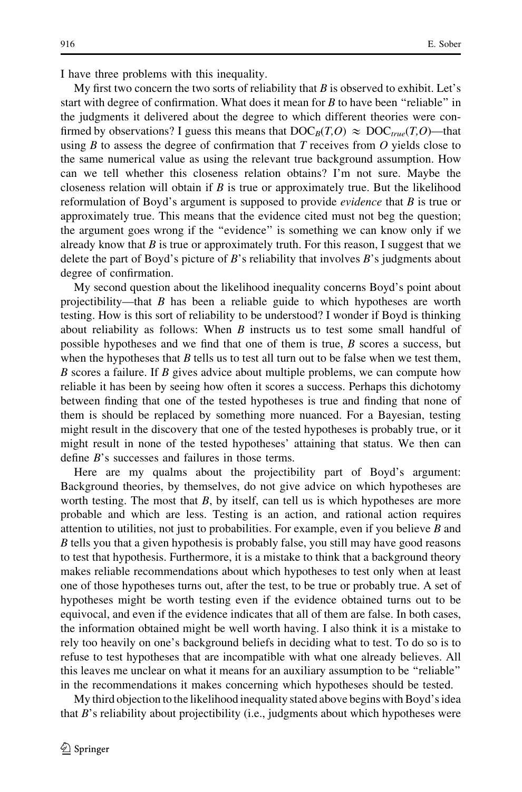I have three problems with this inequality.

My first two concern the two sorts of reliability that  $B$  is observed to exhibit. Let's start with degree of confirmation. What does it mean for B to have been ''reliable'' in the judgments it delivered about the degree to which different theories were confirmed by observations? I guess this means that  $DOC_B(T,0) \approx DOC_{true}(T,0)$ —that using  $B$  to assess the degree of confirmation that  $T$  receives from  $O$  yields close to the same numerical value as using the relevant true background assumption. How can we tell whether this closeness relation obtains? I'm not sure. Maybe the closeness relation will obtain if  $B$  is true or approximately true. But the likelihood reformulation of Boyd's argument is supposed to provide *evidence* that  $B$  is true or approximately true. This means that the evidence cited must not beg the question; the argument goes wrong if the ''evidence'' is something we can know only if we already know that  $B$  is true or approximately truth. For this reason, I suggest that we delete the part of Boyd's picture of  $B$ 's reliability that involves  $B$ 's judgments about degree of confirmation.

My second question about the likelihood inequality concerns Boyd's point about projectibility—that  $B$  has been a reliable guide to which hypotheses are worth testing. How is this sort of reliability to be understood? I wonder if Boyd is thinking about reliability as follows: When  $B$  instructs us to test some small handful of possible hypotheses and we find that one of them is true,  $B$  scores a success, but when the hypotheses that  $B$  tells us to test all turn out to be false when we test them, B scores a failure. If B gives advice about multiple problems, we can compute how reliable it has been by seeing how often it scores a success. Perhaps this dichotomy between finding that one of the tested hypotheses is true and finding that none of them is should be replaced by something more nuanced. For a Bayesian, testing might result in the discovery that one of the tested hypotheses is probably true, or it might result in none of the tested hypotheses' attaining that status. We then can define B's successes and failures in those terms.

Here are my qualms about the projectibility part of Boyd's argument: Background theories, by themselves, do not give advice on which hypotheses are worth testing. The most that  $B$ , by itself, can tell us is which hypotheses are more probable and which are less. Testing is an action, and rational action requires attention to utilities, not just to probabilities. For example, even if you believe  $B$  and B tells you that a given hypothesis is probably false, you still may have good reasons to test that hypothesis. Furthermore, it is a mistake to think that a background theory makes reliable recommendations about which hypotheses to test only when at least one of those hypotheses turns out, after the test, to be true or probably true. A set of hypotheses might be worth testing even if the evidence obtained turns out to be equivocal, and even if the evidence indicates that all of them are false. In both cases, the information obtained might be well worth having. I also think it is a mistake to rely too heavily on one's background beliefs in deciding what to test. To do so is to refuse to test hypotheses that are incompatible with what one already believes. All this leaves me unclear on what it means for an auxiliary assumption to be ''reliable'' in the recommendations it makes concerning which hypotheses should be tested.

My third objection to the likelihood inequality stated above begins with Boyd's idea that B's reliability about projectibility (i.e., judgments about which hypotheses were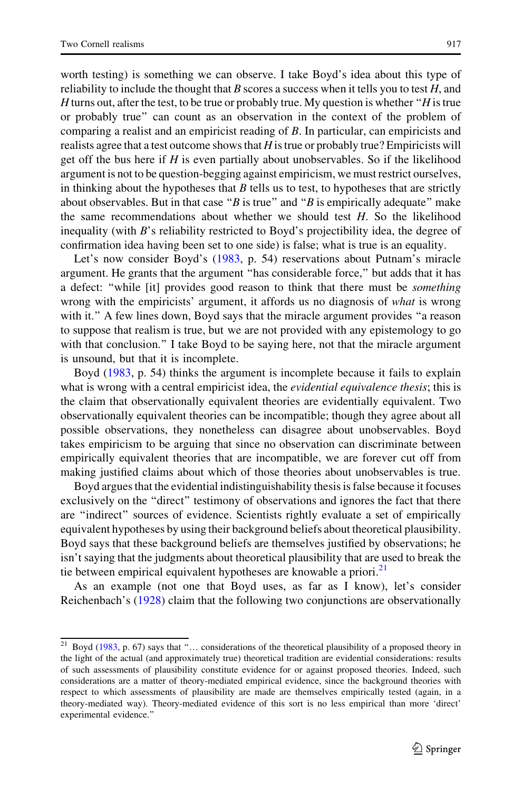worth testing) is something we can observe. I take Boyd's idea about this type of reliability to include the thought that B scores a success when it tells you to test H, and H turns out, after the test, to be true or probably true. My question is whether "H is true or probably true'' can count as an observation in the context of the problem of comparing a realist and an empiricist reading of B. In particular, can empiricists and realists agree that a test outcome shows that  $H$  is true or probably true? Empiricists will get off the bus here if  $H$  is even partially about unobservables. So if the likelihood argument is not to be question-begging against empiricism, we must restrict ourselves, in thinking about the hypotheses that  $B$  tells us to test, to hypotheses that are strictly about observables. But in that case "B is true" and "B is empirically adequate" make the same recommendations about whether we should test  $H$ . So the likelihood inequality (with B's reliability restricted to Boyd's projectibility idea, the degree of confirmation idea having been set to one side) is false; what is true is an equality.

Let's now consider Boyd's [\(1983](#page-18-0), p. 54) reservations about Putnam's miracle argument. He grants that the argument ''has considerable force,'' but adds that it has a defect: ''while [it] provides good reason to think that there must be something wrong with the empiricists' argument, it affords us no diagnosis of *what* is wrong with it." A few lines down, Boyd says that the miracle argument provides "a reason to suppose that realism is true, but we are not provided with any epistemology to go with that conclusion." I take Boyd to be saying here, not that the miracle argument is unsound, but that it is incomplete.

Boyd [\(1983](#page-18-0), p. 54) thinks the argument is incomplete because it fails to explain what is wrong with a central empiricist idea, the evidential equivalence thesis; this is the claim that observationally equivalent theories are evidentially equivalent. Two observationally equivalent theories can be incompatible; though they agree about all possible observations, they nonetheless can disagree about unobservables. Boyd takes empiricism to be arguing that since no observation can discriminate between empirically equivalent theories that are incompatible, we are forever cut off from making justified claims about which of those theories about unobservables is true.

Boyd argues that the evidential indistinguishability thesis is false because it focuses exclusively on the ''direct'' testimony of observations and ignores the fact that there are ''indirect'' sources of evidence. Scientists rightly evaluate a set of empirically equivalent hypotheses by using their background beliefs about theoretical plausibility. Boyd says that these background beliefs are themselves justified by observations; he isn't saying that the judgments about theoretical plausibility that are used to break the tie between empirical equivalent hypotheses are knowable a priori.<sup>21</sup>

As an example (not one that Boyd uses, as far as I know), let's consider Reichenbach's ([1928\)](#page-18-0) claim that the following two conjunctions are observationally

 $21$  Boyd [\(1983](#page-18-0), p. 67) says that "... considerations of the theoretical plausibility of a proposed theory in the light of the actual (and approximately true) theoretical tradition are evidential considerations: results of such assessments of plausibility constitute evidence for or against proposed theories. Indeed, such considerations are a matter of theory-mediated empirical evidence, since the background theories with respect to which assessments of plausibility are made are themselves empirically tested (again, in a theory-mediated way). Theory-mediated evidence of this sort is no less empirical than more 'direct' experimental evidence.''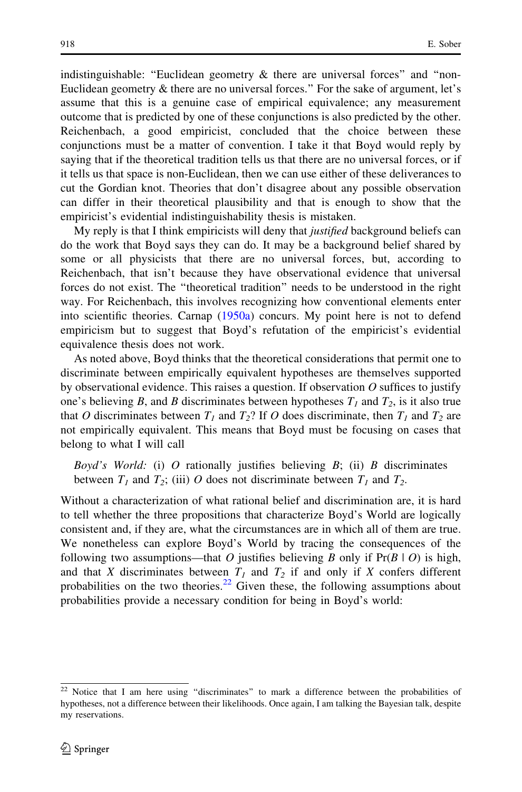indistinguishable: "Euclidean geometry  $\&$  there are universal forces" and "non-Euclidean geometry & there are no universal forces.'' For the sake of argument, let's assume that this is a genuine case of empirical equivalence; any measurement outcome that is predicted by one of these conjunctions is also predicted by the other. Reichenbach, a good empiricist, concluded that the choice between these conjunctions must be a matter of convention. I take it that Boyd would reply by saying that if the theoretical tradition tells us that there are no universal forces, or if it tells us that space is non-Euclidean, then we can use either of these deliverances to cut the Gordian knot. Theories that don't disagree about any possible observation can differ in their theoretical plausibility and that is enough to show that the empiricist's evidential indistinguishability thesis is mistaken.

My reply is that I think empiricists will deny that *justified* background beliefs can do the work that Boyd says they can do. It may be a background belief shared by some or all physicists that there are no universal forces, but, according to Reichenbach, that isn't because they have observational evidence that universal forces do not exist. The ''theoretical tradition'' needs to be understood in the right way. For Reichenbach, this involves recognizing how conventional elements enter into scientific theories. Carnap [\(1950a\)](#page-18-0) concurs. My point here is not to defend empiricism but to suggest that Boyd's refutation of the empiricist's evidential equivalence thesis does not work.

As noted above, Boyd thinks that the theoretical considerations that permit one to discriminate between empirically equivalent hypotheses are themselves supported by observational evidence. This raises a question. If observation  $O$  suffices to justify one's believing B, and B discriminates between hypotheses  $T_1$  and  $T_2$ , is it also true that O discriminates between  $T_1$  and  $T_2$ ? If O does discriminate, then  $T_1$  and  $T_2$  are not empirically equivalent. This means that Boyd must be focusing on cases that belong to what I will call

*Boyd's World:* (i) O rationally justifies believing  $B$ ; (ii) B discriminates between  $T_1$  and  $T_2$ ; (iii) O does not discriminate between  $T_1$  and  $T_2$ .

Without a characterization of what rational belief and discrimination are, it is hard to tell whether the three propositions that characterize Boyd's World are logically consistent and, if they are, what the circumstances are in which all of them are true. We nonetheless can explore Boyd's World by tracing the consequences of the following two assumptions—that O justifies believing B only if  $Pr(B | O)$  is high, and that X discriminates between  $T_1$  and  $T_2$  if and only if X confers different probabilities on the two theories.<sup>22</sup> Given these, the following assumptions about probabilities provide a necessary condition for being in Boyd's world:

<sup>&</sup>lt;sup>22</sup> Notice that I am here using "discriminates" to mark a difference between the probabilities of hypotheses, not a difference between their likelihoods. Once again, I am talking the Bayesian talk, despite my reservations.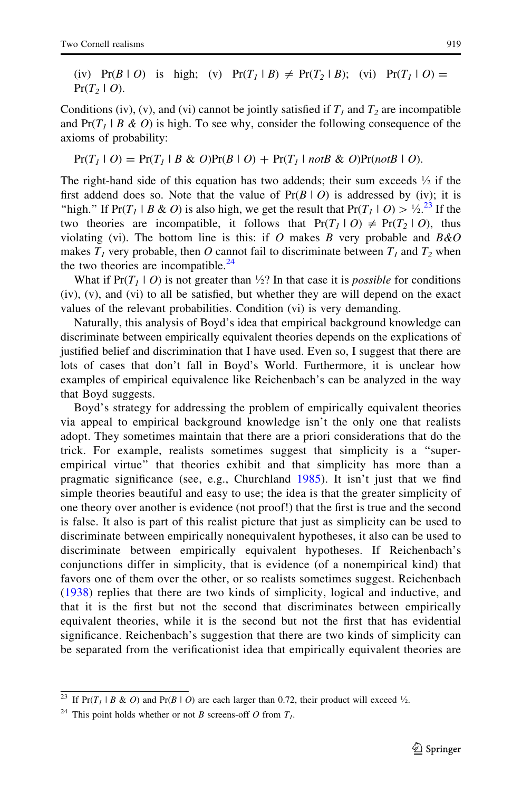(iv) Pr(B | O) is high; (v) Pr(T<sub>1</sub> | B)  $\neq$  Pr(T<sub>2</sub> | B); (vi) Pr(T<sub>1</sub> | O) =  $Pr(T_2 | O)$ .

Conditions (iv), (v), and (vi) cannot be jointly satisfied if  $T_1$  and  $T_2$  are incompatible and  $Pr(T_1 | B \& O)$  is high. To see why, consider the following consequence of the axioms of probability:

$$
Pr(T_I \mid O) = Pr(T_I \mid B \& O)Pr(B \mid O) + Pr(T_I \mid notB \& O)Pr(notB \mid O).
$$

The right-hand side of this equation has two addends; their sum exceeds  $\frac{1}{2}$  if the first addend does so. Note that the value of  $Pr(B | O)$  is addressed by (iv); it is "high." If Pr(T<sub>1</sub> | B & O) is also high, we get the result that Pr(T<sub>1</sub> | O) >  $\frac{1}{2}$ .<sup>23</sup> If the two theories are incompatible, it follows that  $Pr(T_1 | O) \neq Pr(T_2 | O)$ , thus violating (vi). The bottom line is this: if O makes B very probable and  $B\&O$ makes  $T_1$  very probable, then O cannot fail to discriminate between  $T_1$  and  $T_2$  when the two theories are incompatible. $24$ 

What if  $Pr(T_1 | O)$  is not greater than  $\frac{1}{2}$ ? In that case it is *possible* for conditions (iv), (v), and (vi) to all be satisfied, but whether they are will depend on the exact values of the relevant probabilities. Condition (vi) is very demanding.

Naturally, this analysis of Boyd's idea that empirical background knowledge can discriminate between empirically equivalent theories depends on the explications of justified belief and discrimination that I have used. Even so, I suggest that there are lots of cases that don't fall in Boyd's World. Furthermore, it is unclear how examples of empirical equivalence like Reichenbach's can be analyzed in the way that Boyd suggests.

Boyd's strategy for addressing the problem of empirically equivalent theories via appeal to empirical background knowledge isn't the only one that realists adopt. They sometimes maintain that there are a priori considerations that do the trick. For example, realists sometimes suggest that simplicity is a ''superempirical virtue'' that theories exhibit and that simplicity has more than a pragmatic significance (see, e.g., Churchland [1985](#page-18-0)). It isn't just that we find simple theories beautiful and easy to use; the idea is that the greater simplicity of one theory over another is evidence (not proof!) that the first is true and the second is false. It also is part of this realist picture that just as simplicity can be used to discriminate between empirically nonequivalent hypotheses, it also can be used to discriminate between empirically equivalent hypotheses. If Reichenbach's conjunctions differ in simplicity, that is evidence (of a nonempirical kind) that favors one of them over the other, or so realists sometimes suggest. Reichenbach [\(1938\)](#page-18-0) replies that there are two kinds of simplicity, logical and inductive, and that it is the first but not the second that discriminates between empirically equivalent theories, while it is the second but not the first that has evidential significance. Reichenbach's suggestion that there are two kinds of simplicity can be separated from the verificationist idea that empirically equivalent theories are

<sup>&</sup>lt;sup>23</sup> If Pr(T<sub>1</sub> | B & O) and Pr(B | O) are each larger than 0.72, their product will exceed  $\frac{1}{2}$ .

<sup>&</sup>lt;sup>24</sup> This point holds whether or not B screens-off O from  $T_1$ .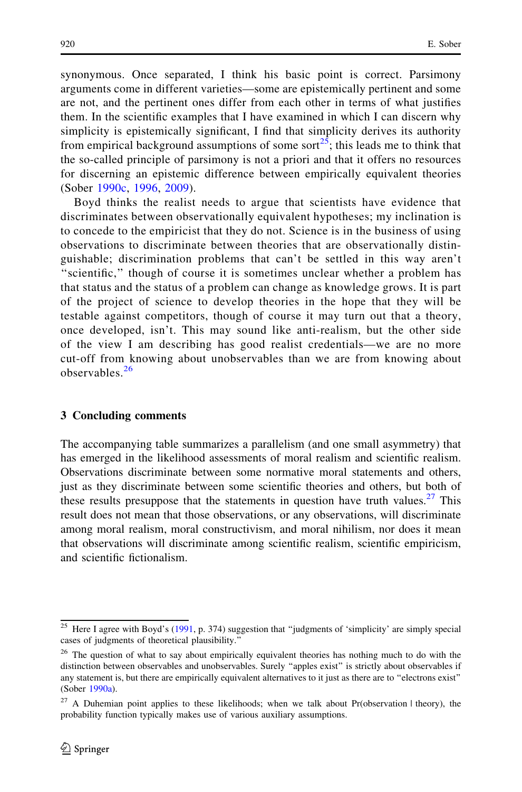synonymous. Once separated, I think his basic point is correct. Parsimony arguments come in different varieties—some are epistemically pertinent and some are not, and the pertinent ones differ from each other in terms of what justifies them. In the scientific examples that I have examined in which I can discern why simplicity is epistemically significant, I find that simplicity derives its authority from empirical background assumptions of some sort<sup>25</sup>; this leads me to think that the so-called principle of parsimony is not a priori and that it offers no resources for discerning an epistemic difference between empirically equivalent theories (Sober [1990c,](#page-19-0) [1996,](#page-19-0) [2009](#page-19-0)).

Boyd thinks the realist needs to argue that scientists have evidence that discriminates between observationally equivalent hypotheses; my inclination is to concede to the empiricist that they do not. Science is in the business of using observations to discriminate between theories that are observationally distinguishable; discrimination problems that can't be settled in this way aren't ''scientific,'' though of course it is sometimes unclear whether a problem has that status and the status of a problem can change as knowledge grows. It is part of the project of science to develop theories in the hope that they will be testable against competitors, though of course it may turn out that a theory, once developed, isn't. This may sound like anti-realism, but the other side of the view I am describing has good realist credentials—we are no more cut-off from knowing about unobservables than we are from knowing about observables.<sup>26</sup>

#### 3 Concluding comments

The accompanying table summarizes a parallelism (and one small asymmetry) that has emerged in the likelihood assessments of moral realism and scientific realism. Observations discriminate between some normative moral statements and others, just as they discriminate between some scientific theories and others, but both of these results presuppose that the statements in question have truth values. $27$  This result does not mean that those observations, or any observations, will discriminate among moral realism, moral constructivism, and moral nihilism, nor does it mean that observations will discriminate among scientific realism, scientific empiricism, and scientific fictionalism.

<sup>&</sup>lt;sup>25</sup> Here I agree with Boyd's [\(1991,](#page-18-0) p. 374) suggestion that "judgments of 'simplicity' are simply special cases of judgments of theoretical plausibility.''

<sup>&</sup>lt;sup>26</sup> The question of what to say about empirically equivalent theories has nothing much to do with the distinction between observables and unobservables. Surely ''apples exist'' is strictly about observables if any statement is, but there are empirically equivalent alternatives to it just as there are to ''electrons exist'' (Sober [1990a](#page-19-0)).

<sup>&</sup>lt;sup>27</sup> A Duhemian point applies to these likelihoods; when we talk about Pr(observation | theory), the probability function typically makes use of various auxiliary assumptions.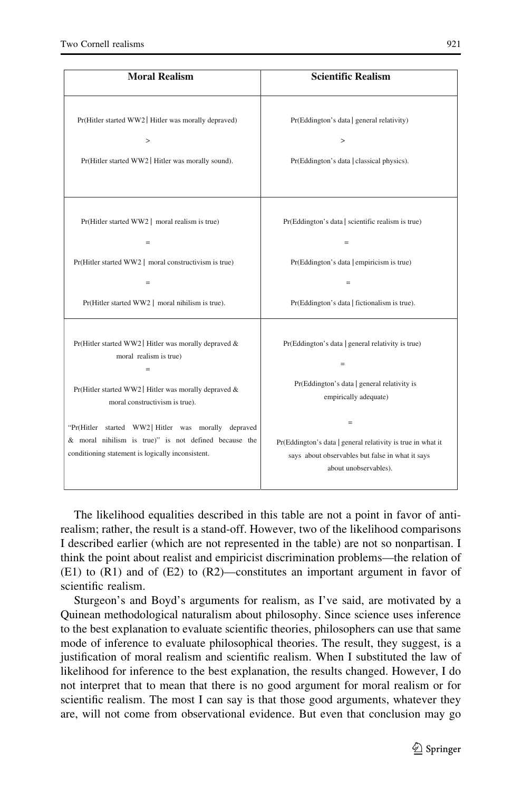

The likelihood equalities described in this table are not a point in favor of antirealism; rather, the result is a stand-off. However, two of the likelihood comparisons I described earlier (which are not represented in the table) are not so nonpartisan. I think the point about realist and empiricist discrimination problems—the relation of (E1) to (R1) and of (E2) to (R2)—constitutes an important argument in favor of scientific realism.

Sturgeon's and Boyd's arguments for realism, as I've said, are motivated by a Quinean methodological naturalism about philosophy. Since science uses inference to the best explanation to evaluate scientific theories, philosophers can use that same mode of inference to evaluate philosophical theories. The result, they suggest, is a justification of moral realism and scientific realism. When I substituted the law of likelihood for inference to the best explanation, the results changed. However, I do not interpret that to mean that there is no good argument for moral realism or for scientific realism. The most I can say is that those good arguments, whatever they are, will not come from observational evidence. But even that conclusion may go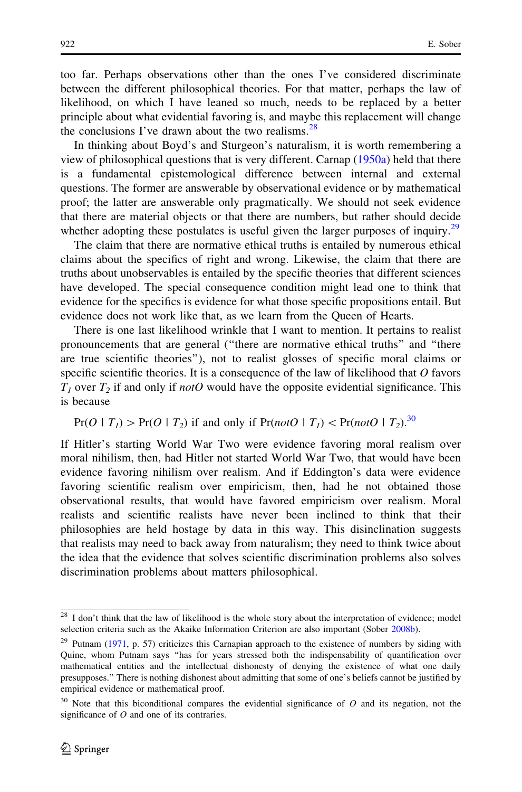too far. Perhaps observations other than the ones I've considered discriminate between the different philosophical theories. For that matter, perhaps the law of likelihood, on which I have leaned so much, needs to be replaced by a better principle about what evidential favoring is, and maybe this replacement will change the conclusions I've drawn about the two realisms. $^{28}$ 

In thinking about Boyd's and Sturgeon's naturalism, it is worth remembering a view of philosophical questions that is very different. Carnap ([1950a](#page-18-0)) held that there is a fundamental epistemological difference between internal and external questions. The former are answerable by observational evidence or by mathematical proof; the latter are answerable only pragmatically. We should not seek evidence that there are material objects or that there are numbers, but rather should decide whether adopting these postulates is useful given the larger purposes of inquiry.<sup>29</sup>

The claim that there are normative ethical truths is entailed by numerous ethical claims about the specifics of right and wrong. Likewise, the claim that there are truths about unobservables is entailed by the specific theories that different sciences have developed. The special consequence condition might lead one to think that evidence for the specifics is evidence for what those specific propositions entail. But evidence does not work like that, as we learn from the Queen of Hearts.

There is one last likelihood wrinkle that I want to mention. It pertains to realist pronouncements that are general (''there are normative ethical truths'' and ''there are true scientific theories''), not to realist glosses of specific moral claims or specific scientific theories. It is a consequence of the law of likelihood that  $O$  favors  $T_1$  over  $T_2$  if and only if notO would have the opposite evidential significance. This is because

## $Pr(O | T_1)$  >  $Pr(O | T_2)$  if and only if  $Pr(notO | T_1)$  <  $Pr(notO | T_2)$ .<sup>30</sup>

If Hitler's starting World War Two were evidence favoring moral realism over moral nihilism, then, had Hitler not started World War Two, that would have been evidence favoring nihilism over realism. And if Eddington's data were evidence favoring scientific realism over empiricism, then, had he not obtained those observational results, that would have favored empiricism over realism. Moral realists and scientific realists have never been inclined to think that their philosophies are held hostage by data in this way. This disinclination suggests that realists may need to back away from naturalism; they need to think twice about the idea that the evidence that solves scientific discrimination problems also solves discrimination problems about matters philosophical.

 $28$  I don't think that the law of likelihood is the whole story about the interpretation of evidence; model selection criteria such as the Akaike Information Criterion are also important (Sober [2008b\)](#page-19-0).

<sup>&</sup>lt;sup>29</sup> Putnam ([1971,](#page-18-0) p. 57) criticizes this Carnapian approach to the existence of numbers by siding with Quine, whom Putnam says ''has for years stressed both the indispensability of quantification over mathematical entities and the intellectual dishonesty of denying the existence of what one daily presupposes.'' There is nothing dishonest about admitting that some of one's beliefs cannot be justified by empirical evidence or mathematical proof.

 $30$  Note that this biconditional compares the evidential significance of O and its negation, not the significance of  $O$  and one of its contraries.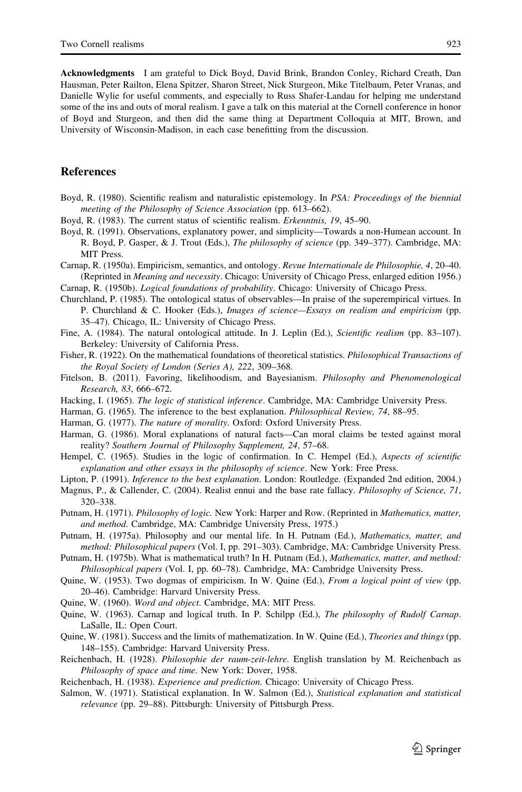<span id="page-18-0"></span>Acknowledgments I am grateful to Dick Boyd, David Brink, Brandon Conley, Richard Creath, Dan Hausman, Peter Railton, Elena Spitzer, Sharon Street, Nick Sturgeon, Mike Titelbaum, Peter Vranas, and Danielle Wylie for useful comments, and especially to Russ Shafer-Landau for helping me understand some of the ins and outs of moral realism. I gave a talk on this material at the Cornell conference in honor of Boyd and Sturgeon, and then did the same thing at Department Colloquia at MIT, Brown, and University of Wisconsin-Madison, in each case benefitting from the discussion.

#### References

- Boyd, R. (1980). Scientific realism and naturalistic epistemology. In PSA: Proceedings of the biennial meeting of the Philosophy of Science Association (pp. 613–662).
- Boyd, R. (1983). The current status of scientific realism. Erkenntnis, 19, 45–90.
- Boyd, R. (1991). Observations, explanatory power, and simplicity—Towards a non-Humean account. In R. Boyd, P. Gasper, & J. Trout (Eds.), The philosophy of science (pp. 349–377). Cambridge, MA: MIT Press.

Carnap, R. (1950a). Empiricism, semantics, and ontology. Revue Internationale de Philosophie, 4, 20–40. (Reprinted in Meaning and necessity. Chicago: University of Chicago Press, enlarged edition 1956.)

Carnap, R. (1950b). Logical foundations of probability. Chicago: University of Chicago Press.

- Churchland, P. (1985). The ontological status of observables—In praise of the superempirical virtues. In P. Churchland & C. Hooker (Eds.), Images of science—Essays on realism and empiricism (pp. 35–47). Chicago, IL: University of Chicago Press.
- Fine, A. (1984). The natural ontological attitude. In J. Leplin (Ed.), Scientific realism (pp. 83-107). Berkeley: University of California Press.
- Fisher, R. (1922). On the mathematical foundations of theoretical statistics. Philosophical Transactions of the Royal Society of London (Series A), 222, 309–368.
- Fitelson, B. (2011). Favoring, likelihoodism, and Bayesianism. Philosophy and Phenomenological Research, 83, 666–672.
- Hacking, I. (1965). The logic of statistical inference. Cambridge, MA: Cambridge University Press.
- Harman, G. (1965). The inference to the best explanation. *Philosophical Review*, 74, 88–95.
- Harman, G. (1977). The nature of morality. Oxford: Oxford University Press.
- Harman, G. (1986). Moral explanations of natural facts—Can moral claims be tested against moral reality? Southern Journal of Philosophy Supplement, 24, 57–68.
- Hempel, C. (1965). Studies in the logic of confirmation. In C. Hempel (Ed.), Aspects of scientific explanation and other essays in the philosophy of science. New York: Free Press.
- Lipton, P. (1991). Inference to the best explanation. London: Routledge. (Expanded 2nd edition, 2004.)
- Magnus, P., & Callender, C. (2004). Realist ennui and the base rate fallacy. Philosophy of Science, 71, 320–338.
- Putnam, H. (1971). Philosophy of logic. New York: Harper and Row. (Reprinted in Mathematics, matter, and method. Cambridge, MA: Cambridge University Press, 1975.)
- Putnam, H. (1975a). Philosophy and our mental life. In H. Putnam (Ed.), Mathematics, matter, and method: Philosophical papers (Vol. I, pp. 291–303). Cambridge, MA: Cambridge University Press.
- Putnam, H. (1975b). What is mathematical truth? In H. Putnam (Ed.), *Mathematics, matter, and method:* Philosophical papers (Vol. I, pp. 60–78). Cambridge, MA: Cambridge University Press.
- Quine, W. (1953). Two dogmas of empiricism. In W. Quine (Ed.), From a logical point of view (pp. 20–46). Cambridge: Harvard University Press.
- Quine, W. (1960). Word and object. Cambridge, MA: MIT Press.
- Quine, W. (1963). Carnap and logical truth. In P. Schilpp (Ed.), The philosophy of Rudolf Carnap. LaSalle, IL: Open Court.
- Quine, W. (1981). Success and the limits of mathematization. In W. Quine (Ed.), Theories and things (pp. 148–155). Cambridge: Harvard University Press.
- Reichenbach, H. (1928). Philosophie der raum-zeit-lehre. English translation by M. Reichenbach as Philosophy of space and time. New York: Dover, 1958.

Reichenbach, H. (1938). Experience and prediction. Chicago: University of Chicago Press.

Salmon, W. (1971). Statistical explanation. In W. Salmon (Ed.), Statistical explanation and statistical relevance (pp. 29–88). Pittsburgh: University of Pittsburgh Press.